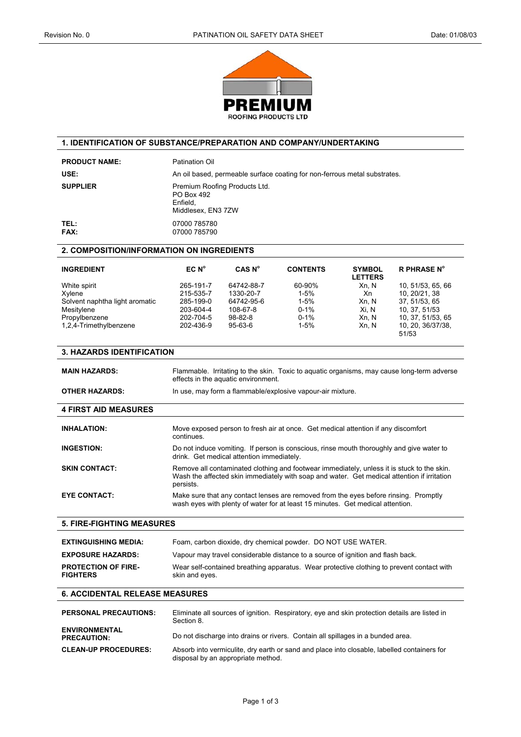

#### **1. IDENTIFICATION OF SUBSTANCE/PREPARATION AND COMPANY/UNDERTAKING**

| <b>PRODUCT NAME:</b>                                                                                              | Patination Oil                                                                                                                                                                                         |                                                                         |                                                                                               |                                                 |                                                                                                                         |
|-------------------------------------------------------------------------------------------------------------------|--------------------------------------------------------------------------------------------------------------------------------------------------------------------------------------------------------|-------------------------------------------------------------------------|-----------------------------------------------------------------------------------------------|-------------------------------------------------|-------------------------------------------------------------------------------------------------------------------------|
| USE:                                                                                                              | An oil based, permeable surface coating for non-ferrous metal substrates.                                                                                                                              |                                                                         |                                                                                               |                                                 |                                                                                                                         |
| <b>SUPPLIER</b>                                                                                                   | Premium Roofing Products Ltd.<br>PO Box 492<br>Enfield,<br>Middlesex, EN3 7ZW                                                                                                                          |                                                                         |                                                                                               |                                                 |                                                                                                                         |
| TEL:<br>FAX:                                                                                                      | 07000 785780<br>07000 785790                                                                                                                                                                           |                                                                         |                                                                                               |                                                 |                                                                                                                         |
| 2. COMPOSITION/INFORMATION ON INGREDIENTS                                                                         |                                                                                                                                                                                                        |                                                                         |                                                                                               |                                                 |                                                                                                                         |
| <b>INGREDIENT</b>                                                                                                 | EC N <sup>o</sup>                                                                                                                                                                                      | CAS N <sup>o</sup>                                                      | <b>CONTENTS</b>                                                                               | <b>SYMBOL</b><br><b>LETTERS</b>                 | <b>R PHRASE N°</b>                                                                                                      |
| White spirit<br>Xylene<br>Solvent naphtha light aromatic<br>Mesitylene<br>Propylbenzene<br>1,2,4-Trimethylbenzene | 265-191-7<br>215-535-7<br>285-199-0<br>203-604-4<br>202-704-5<br>202-436-9                                                                                                                             | 64742-88-7<br>1330-20-7<br>64742-95-6<br>108-67-8<br>98-82-8<br>95-63-6 | 60-90%<br>$1 - 5%$<br>$1 - 5%$<br>$0 - 1%$<br>$0 - 1%$<br>$1 - 5%$                            | Xn, N<br>Xn<br>Xn, N<br>Xi, N<br>Xn, N<br>Xn, N | 10, 51/53, 65, 66<br>10, 20/21, 38<br>37, 51/53, 65<br>10, 37, 51/53<br>10, 37, 51/53, 65<br>10, 20, 36/37/38,<br>51/53 |
| <b>3. HAZARDS IDENTIFICATION</b>                                                                                  |                                                                                                                                                                                                        |                                                                         |                                                                                               |                                                 |                                                                                                                         |
| <b>MAIN HAZARDS:</b>                                                                                              | Flammable. Irritating to the skin. Toxic to aquatic organisms, may cause long-term adverse<br>effects in the aquatic environment.                                                                      |                                                                         |                                                                                               |                                                 |                                                                                                                         |
| <b>OTHER HAZARDS:</b>                                                                                             | In use, may form a flammable/explosive vapour-air mixture.                                                                                                                                             |                                                                         |                                                                                               |                                                 |                                                                                                                         |
| <b>4 FIRST AID MEASURES</b>                                                                                       |                                                                                                                                                                                                        |                                                                         |                                                                                               |                                                 |                                                                                                                         |
| <b>INHALATION:</b>                                                                                                | Move exposed person to fresh air at once. Get medical attention if any discomfort<br>continues.                                                                                                        |                                                                         |                                                                                               |                                                 |                                                                                                                         |
| <b>INGESTION:</b>                                                                                                 | Do not induce vomiting. If person is conscious, rinse mouth thoroughly and give water to<br>drink. Get medical attention immediately.                                                                  |                                                                         |                                                                                               |                                                 |                                                                                                                         |
| <b>SKIN CONTACT:</b>                                                                                              | Remove all contaminated clothing and footwear immediately, unless it is stuck to the skin.<br>Wash the affected skin immediately with soap and water. Get medical attention if irritation<br>persists. |                                                                         |                                                                                               |                                                 |                                                                                                                         |
| <b>EYE CONTACT:</b>                                                                                               | Make sure that any contact lenses are removed from the eyes before rinsing. Promptly<br>wash eyes with plenty of water for at least 15 minutes. Get medical attention.                                 |                                                                         |                                                                                               |                                                 |                                                                                                                         |
| <b>5. FIRE-FIGHTING MEASURES</b>                                                                                  |                                                                                                                                                                                                        |                                                                         |                                                                                               |                                                 |                                                                                                                         |
| <b>EXTINGUISHING MEDIA:</b>                                                                                       | Foam, carbon dioxide, dry chemical powder. DO NOT USE WATER.                                                                                                                                           |                                                                         |                                                                                               |                                                 |                                                                                                                         |
| <b>EXPOSURE HAZARDS:</b>                                                                                          | Vapour may travel considerable distance to a source of ignition and flash back.                                                                                                                        |                                                                         |                                                                                               |                                                 |                                                                                                                         |
| <b>PROTECTION OF FIRE-</b><br><b>FIGHTERS</b>                                                                     | Wear self-contained breathing apparatus. Wear protective clothing to prevent contact with<br>skin and eyes.                                                                                            |                                                                         |                                                                                               |                                                 |                                                                                                                         |
| <b>6. ACCIDENTAL RELEASE MEASURES</b>                                                                             |                                                                                                                                                                                                        |                                                                         |                                                                                               |                                                 |                                                                                                                         |
| <b>PERSONAL PRECAUTIONS:</b>                                                                                      | Section 8.                                                                                                                                                                                             |                                                                         | Eliminate all sources of ignition. Respiratory, eye and skin protection details are listed in |                                                 |                                                                                                                         |
| <b>ENVIRONMENTAL</b><br><b>PRECAUTION:</b>                                                                        | Do not discharge into drains or rivers. Contain all spillages in a bunded area.                                                                                                                        |                                                                         |                                                                                               |                                                 |                                                                                                                         |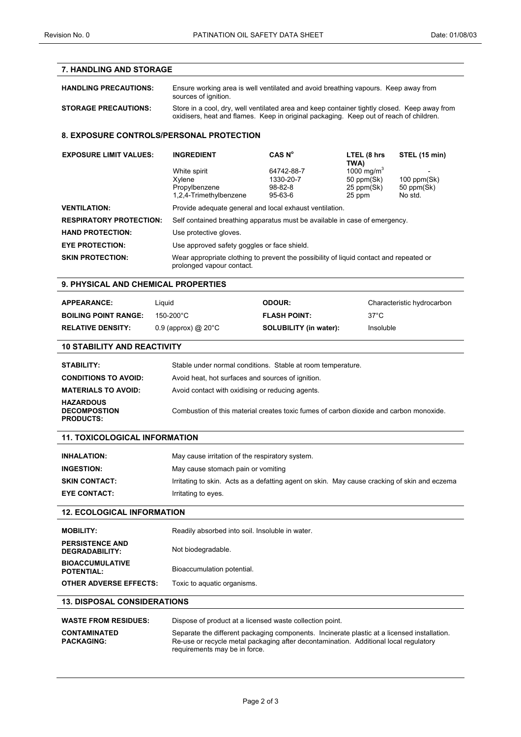| <b>HANDLING PRECAUTIONS:</b>                    | Ensure working area is well ventilated and avoid breathing vapours. Keep away from<br>sources of ignition.                                                                             |                          |                        |                       |  |
|-------------------------------------------------|----------------------------------------------------------------------------------------------------------------------------------------------------------------------------------------|--------------------------|------------------------|-----------------------|--|
| <b>STORAGE PRECAUTIONS:</b>                     | Store in a cool, dry, well ventilated area and keep container tightly closed. Keep away from<br>oxidisers, heat and flames. Keep in original packaging. Keep out of reach of children. |                          |                        |                       |  |
| <b>8. EXPOSURE CONTROLS/PERSONAL PROTECTION</b> |                                                                                                                                                                                        |                          |                        |                       |  |
| <b>EXPOSURE LIMIT VALUES:</b>                   | <b>INGREDIENT</b>                                                                                                                                                                      | CAS N <sup>o</sup>       | LTEL (8 hrs<br>TWA)    | <b>STEL (15 min)</b>  |  |
|                                                 | White spirit                                                                                                                                                                           | 64742-88-7               | 1000 mg/m <sup>3</sup> |                       |  |
|                                                 | Xylene                                                                                                                                                                                 | 1330-20-7                | 50 ppm(Sk)             | $100$ ppm $(Sk)$      |  |
|                                                 | Propylbenzene<br>1,2,4-Trimethylbenzene                                                                                                                                                | $98 - 82 - 8$<br>95-63-6 | 25 ppm(Sk)<br>25 ppm   | 50 ppm(Sk)<br>No std. |  |
| <b>VENTILATION:</b>                             | Provide adequate general and local exhaust ventilation.                                                                                                                                |                          |                        |                       |  |
| <b>RESPIRATORY PROTECTION:</b>                  | Self contained breathing apparatus must be available in case of emergency.                                                                                                             |                          |                        |                       |  |
| <b>HAND PROTECTION:</b>                         | Use protective gloves.                                                                                                                                                                 |                          |                        |                       |  |
| <b>EYE PROTECTION:</b>                          | Use approved safety goggles or face shield.                                                                                                                                            |                          |                        |                       |  |
| <b>SKIN PROTECTION:</b>                         | Wear appropriate clothing to prevent the possibility of liquid contact and repeated or<br>prolonged vapour contact.                                                                    |                          |                        |                       |  |

| <b>APPEARANCE:</b>          | Liauid                         | <b>ODOUR:</b>                 | Characteristic hydrocarbon |
|-----------------------------|--------------------------------|-------------------------------|----------------------------|
| <b>BOILING POINT RANGE:</b> | 150-200°C                      | <b>FLASH POINT:</b>           | 37°C                       |
| <b>RELATIVE DENSITY:</b>    | 0.9 (approx) @ 20 $^{\circ}$ C | <b>SOLUBILITY (in water):</b> | Insoluble                  |

### **10 STABILITY AND REACTIVITY**

| <b>STABILITY:</b>                                           | Stable under normal conditions. Stable at room temperature.                            |
|-------------------------------------------------------------|----------------------------------------------------------------------------------------|
| <b>CONDITIONS TO AVOID:</b>                                 | Avoid heat, hot surfaces and sources of ignition.                                      |
| <b>MATERIALS TO AVOID:</b>                                  | Avoid contact with oxidising or reducing agents.                                       |
| <b>HAZARDOUS</b><br><b>DECOMPOSTION</b><br><b>PRODUCTS:</b> | Combustion of this material creates toxic fumes of carbon dioxide and carbon monoxide. |

## **11. TOXICOLOGICAL INFORMATION**

| May cause irritation of the respiratory system.                                              |
|----------------------------------------------------------------------------------------------|
| May cause stomach pain or vomiting                                                           |
| Irritating to skin. Acts as a defatting agent on skin. May cause cracking of skin and eczema |
| Irritating to eyes.                                                                          |
|                                                                                              |

# **12. ECOLOGICAL INFORMATION**

| <b>OTHER ADVERSE EFFECTS:</b>               | Toxic to aquatic organisms.                     |
|---------------------------------------------|-------------------------------------------------|
| <b>BIOACCUMULATIVE</b><br><b>POTENTIAL:</b> | Bioaccumulation potential.                      |
| <b>PERSISTENCE AND</b><br>DEGRADABILITY:    | Not biodegradable.                              |
| <b>MOBILITY:</b>                            | Readily absorbed into soil. Insoluble in water. |
|                                             |                                                 |

## **13. DISPOSAL CONSIDERATIONS**

| <b>WASTE FROM RESIDUES:</b>              | Dispose of product at a licensed waste collection point.                                                                                                                                                             |  |  |
|------------------------------------------|----------------------------------------------------------------------------------------------------------------------------------------------------------------------------------------------------------------------|--|--|
| <b>CONTAMINATED</b><br><b>PACKAGING:</b> | Separate the different packaging components. Incinerate plastic at a licensed installation.<br>Re-use or recycle metal packaging after decontamination. Additional local regulatory<br>requirements may be in force. |  |  |